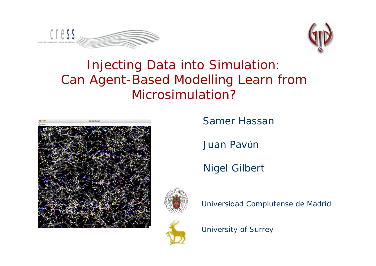



### Injecting Data into Simulation: Can Agent-Based Modelling Learn from Microsimulation?



Samer Hassan

Juan Pavón

Nigel Gilbert





Universidad Complutense de Madrid

University of Surrey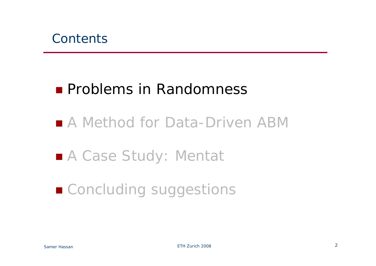## ■ A Method for Data-Driven ABM

# ■ A Case Study: Mentat

# ■ Concluding suggestions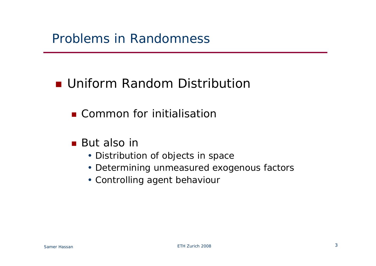### **Uniform Random Distribution**

#### **E** Common for initialisation

- But also in
	- Distribution of objects in space
	- Determining unmeasured exogenous factors
	- Controlling agent behaviour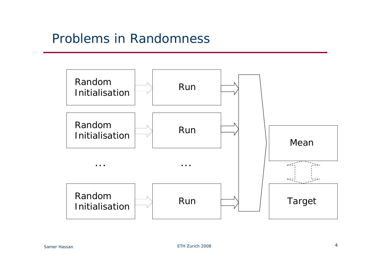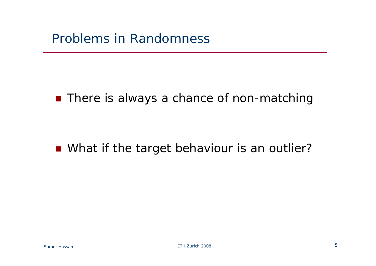#### **There is always a chance of non-matching**

#### **Nhat if the target behaviour is an outlier?**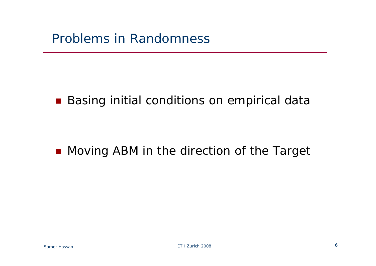#### **Basing initial conditions on empirical data**

#### **Noving ABM in the direction of the Target**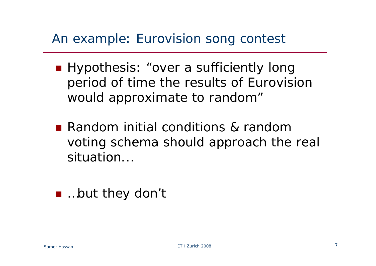### An example: Eurovision song contest

- **Hypothesis: "over a sufficiently long** period of time the results of Eurovision would approximate to random"
- **Random initial conditions & random** voting schema should approach the real situation...
- …but they don't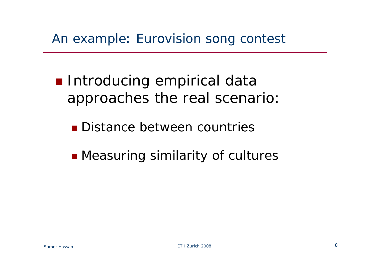- **Introducing empirical data** approaches the real scenario:
	- **Distance between countries**
	- **n** Measuring similarity of cultures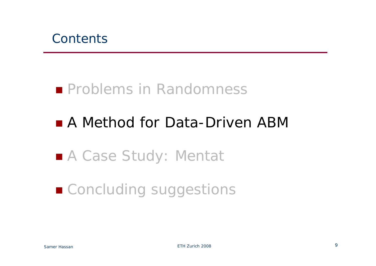

## ■ A Method for Data-Driven ABM

# ■ A Case Study: Mentat

# ■ Concluding suggestions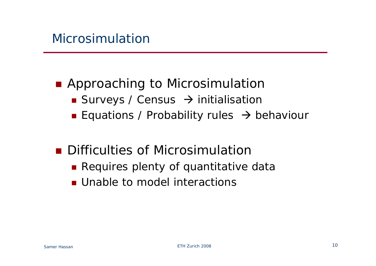### **Approaching to Microsimulation**

- Surveys / Census  $\rightarrow$  initialisation
- **Equations / Probability rules**  $\rightarrow$  **behaviour**

### **Difficulties of Microsimulation**

- **Requires plenty of quantitative data**
- **Unable to model interactions**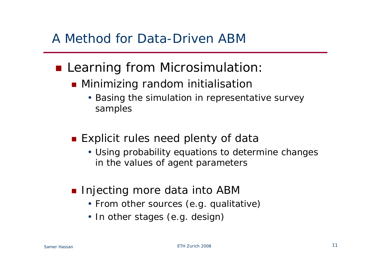### A Method for Data-Driven ABM

#### **Learning from Microsimulation:**

- **Minimizing random initialisation** 
	- Basing the simulation in representative survey samples
- **Explicit rules need plenty of data** 
	- Using probability equations to determine changes in the values of agent parameters
- **Injecting more data into ABM** 
	- From other sources (e.g. qualitative)
	- In other stages (e.g. design)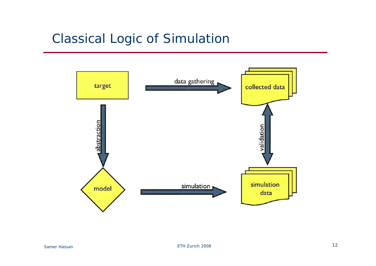### Classical Logic of Simulation

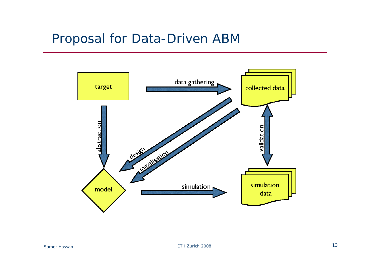#### Proposal for Data-Driven ABM

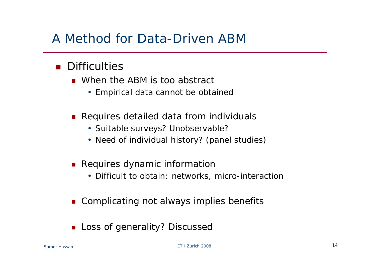### A Method for Data-Driven ABM

#### **Difficulties**

- **Notable ABM** is too abstract
	- Empirical data cannot be obtained
- **Requires detailed data from individuals** 
	- Suitable surveys? Unobservable?
	- Need of individual history? (panel studies)
- **Requires dynamic information** 
	- Difficult to obtain: networks, micro-interaction
- P. Complicating not always implies benefits
- П Loss of generality? Discussed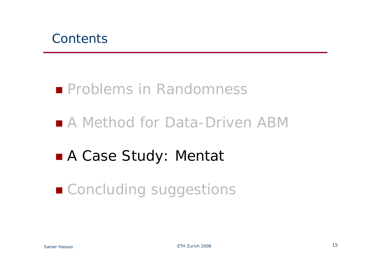

## ■ A Method for Data-Driven ABM

# A Case Study: Mentat

# ■ Concluding suggestions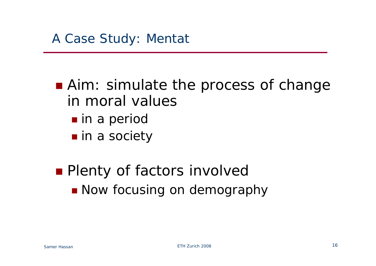■ Aim: simulate the process of change in moral values**n** in a period

**n** in a society

**Plenty of factors involved Now focusing on demography**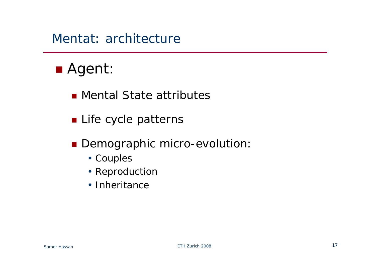#### Mentat: architecture

# Agent:

- Mental State attributes
- **Life cycle patterns**
- **Demographic micro-evolution:** 
	- Couples
	- Reproduction
	- Inheritance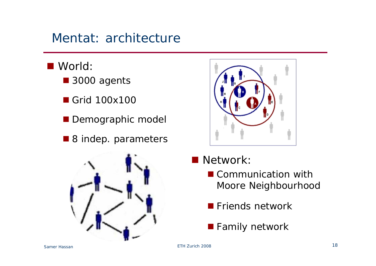### Mentat: architecture

- World:
	- 3000 agents
	- Grid 100x100
	- **Demographic model**
	- 8 indep. parameters





- Network:
	- Communication with Moore Neighbourhood
	- **Friends network**
	- **Family network**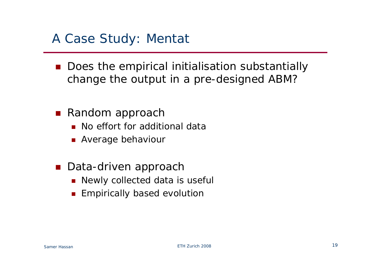#### A Case Study: Mentat

- Does the empirical initialisation substantially change the output in a pre-designed ABM?
- Random approach
	- **No effort for additional data**
	- **Average behaviour**
- Data-driven approach
	- **Newly collected data is useful**
	- П Empirically based evolution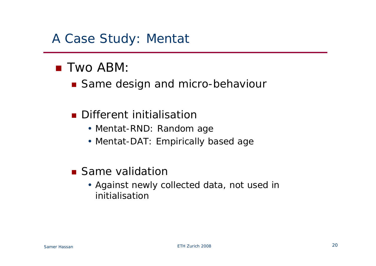#### A Case Study: Mentat

#### ■ Two ABM:

■ Same design and micro-behaviour

#### **Different initialisation**

- Mentat-RND: Random age
- Mentat-DAT: Empirically based age
- **Same validation** 
	- Against newly collected data, not used in initialisation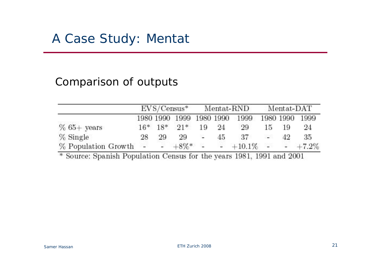#### Comparison of outputs

|                          |    |     |                          | $EVS/Census*$ Mentat-RND |     |                      | Mentat-DAT |      |                |
|--------------------------|----|-----|--------------------------|--------------------------|-----|----------------------|------------|------|----------------|
|                          |    |     | 1980 1990 1999 1980 1990 |                          |     | - 1999               |            |      | 1980 1990 1999 |
| $% 65+ years$            |    |     | $16*$ $18*$ $91*$        | 19                       | -24 | 29                   | 15.        | 19   | 24             |
| $\%$ Single              | 28 | -29 | 29                       | 92.                      | 45  | -37                  | 1266       | 71 Q | 35.            |
| $\%$ Population Growth - |    |     | $-48\%$ * $-$            |                          |     | $-$ +10.1% - - +7.2% |            |      |                |

÷. Source: Spanish Population Census for the years 1981, 1991 and 2001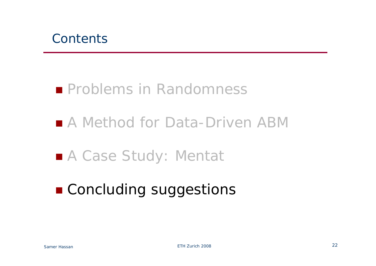

### ■ A Method for Data-Driven ABM

## ■ A Case Study: Mentat

# **E** Concluding suggestions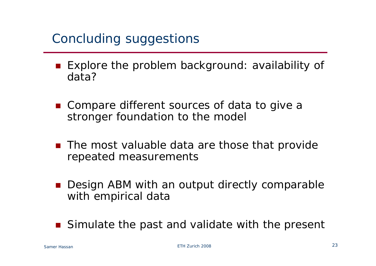### Concluding suggestions

- Explore the problem background: availability of data?
- Compare different sources of data to give a stronger foundation to the model
- The most valuable data are those that provide repeated measurements
- Design ABM with an output directly comparable with empirical data
- Simulate the past and validate with the present